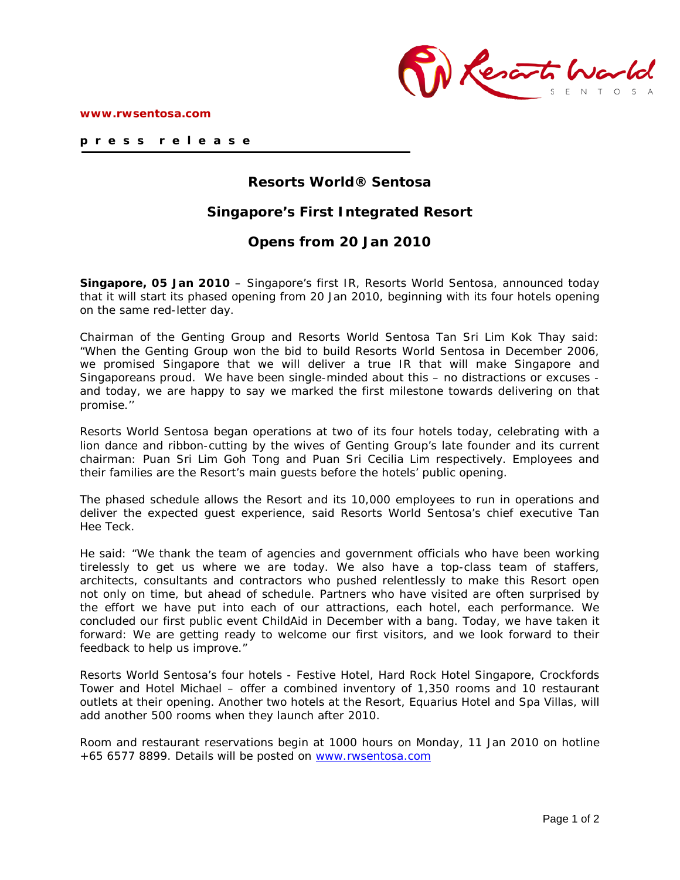

# **Resorts World® Sentosa**

# **Singapore's First Integrated Resort**

## **Opens from 20 Jan 2010**

**Singapore, 05 Jan 2010** – Singapore's first IR, Resorts World Sentosa, announced today that it will start its phased opening from 20 Jan 2010, beginning with its four hotels opening on the same red-letter day.

Chairman of the Genting Group and Resorts World Sentosa Tan Sri Lim Kok Thay said: "When the Genting Group won the bid to build Resorts World Sentosa in December 2006, we promised Singapore that we will deliver a true IR that will make Singapore and Singaporeans proud. We have been single-minded about this – no distractions or excuses and today, we are happy to say we marked the first milestone towards delivering on that promise.''

Resorts World Sentosa began operations at two of its four hotels today, celebrating with a lion dance and ribbon-cutting by the wives of Genting Group's late founder and its current chairman: Puan Sri Lim Goh Tong and Puan Sri Cecilia Lim respectively. Employees and their families are the Resort's main guests before the hotels' public opening.

The phased schedule allows the Resort and its 10,000 employees to run in operations and deliver the expected guest experience, said Resorts World Sentosa's chief executive Tan Hee Teck.

He said: "We thank the team of agencies and government officials who have been working tirelessly to get us where we are today. We also have a top-class team of staffers, architects, consultants and contractors who pushed relentlessly to make this Resort open not only on time, but ahead of schedule. Partners who have visited are often surprised by the effort we have put into each of our attractions, each hotel, each performance. We concluded our first public event ChildAid in December with a bang. Today, we have taken it forward: We are getting ready to welcome our first visitors, and we look forward to their feedback to help us improve."

Resorts World Sentosa's four hotels - Festive Hotel, Hard Rock Hotel Singapore, Crockfords Tower and Hotel Michael – offer a combined inventory of 1,350 rooms and 10 restaurant outlets at their opening. Another two hotels at the Resort, Equarius Hotel and Spa Villas, will add another 500 rooms when they launch after 2010.

Room and restaurant reservations begin at 1000 hours on Monday, 11 Jan 2010 on hotline +65 6577 8899. Details will be posted on [www.rwsentosa.com](http://www.rwsentosa.com/)